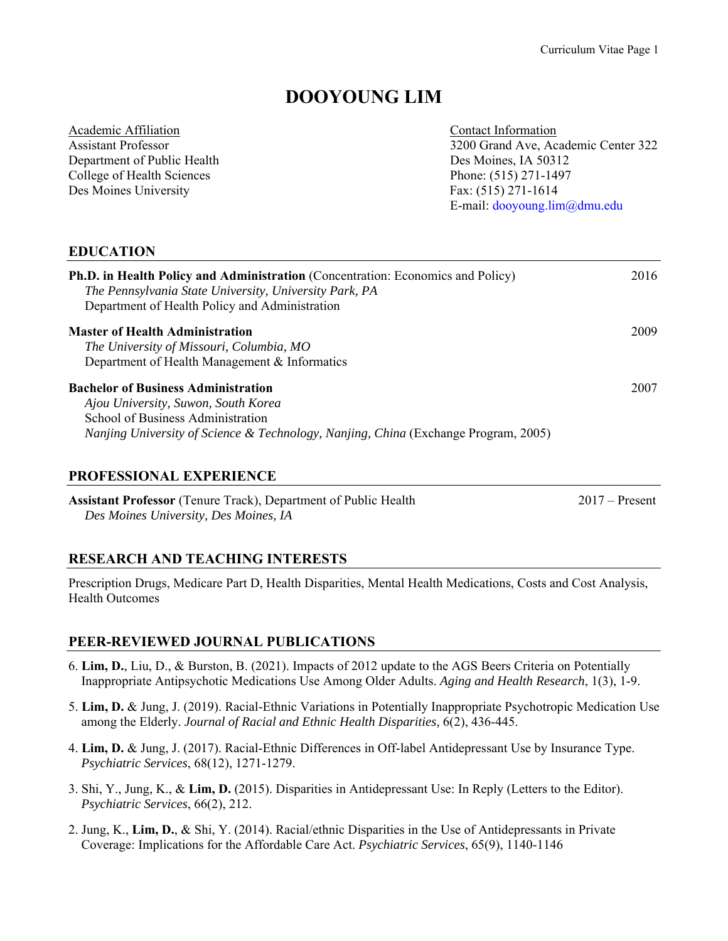## **DOOYOUNG LIM**

| Academic Affiliation        | Contact Information                 |
|-----------------------------|-------------------------------------|
| <b>Assistant Professor</b>  | 3200 Grand Ave, Academic Center 322 |
| Department of Public Health | Des Moines, IA 50312                |
| College of Health Sciences  | Phone: (515) 271-1497               |
| Des Moines University       | Fax: (515) 271-1614                 |
|                             | E-mail: $dooyoung.lim@dmu.edu$      |
|                             |                                     |

#### **EDUCATION**

| <b>Ph.D. in Health Policy and Administration</b> (Concentration: Economics and Policy)<br>The Pennsylvania State University, University Park, PA<br>Department of Health Policy and Administration                       | 2016 |
|--------------------------------------------------------------------------------------------------------------------------------------------------------------------------------------------------------------------------|------|
| <b>Master of Health Administration</b><br>The University of Missouri, Columbia, MO<br>Department of Health Management & Informatics                                                                                      | 2009 |
| <b>Bachelor of Business Administration</b><br>Ajou University, Suwon, South Korea<br>School of Business Administration<br><i>Nanjing University of Science &amp; Technology, Nanjing, China (Exchange Program, 2005)</i> | 2007 |

#### **PROFESSIONAL EXPERIENCE**

**Assistant Professor** (Tenure Track), Department of Public Health 2017 – Present  *Des Moines University, Des Moines, IA* 

# **RESEARCH AND TEACHING INTERESTS**

Prescription Drugs, Medicare Part D, Health Disparities, Mental Health Medications, Costs and Cost Analysis, Health Outcomes

## **PEER-REVIEWED JOURNAL PUBLICATIONS**

- 6. **Lim, D.**, Liu, D., & Burston, B. (2021). Impacts of 2012 update to the AGS Beers Criteria on Potentially Inappropriate Antipsychotic Medications Use Among Older Adults. *Aging and Health Research*, 1(3), 1-9.
- 5. **Lim, D.** & Jung, J. (2019). Racial-Ethnic Variations in Potentially Inappropriate Psychotropic Medication Use among the Elderly. *Journal of Racial and Ethnic Health Disparities,* 6(2), 436-445.
- 4. **Lim, D.** & Jung, J. (2017). Racial-Ethnic Differences in Off-label Antidepressant Use by Insurance Type. *Psychiatric Services*, 68(12), 1271-1279.
- 3. Shi, Y., Jung, K., & **Lim, D.** (2015). Disparities in Antidepressant Use: In Reply (Letters to the Editor). *Psychiatric Services*, 66(2), 212.
- 2. Jung, K., **Lim, D.**, & Shi, Y. (2014). Racial/ethnic Disparities in the Use of Antidepressants in Private Coverage: Implications for the Affordable Care Act. *Psychiatric Services*, 65(9), 1140-1146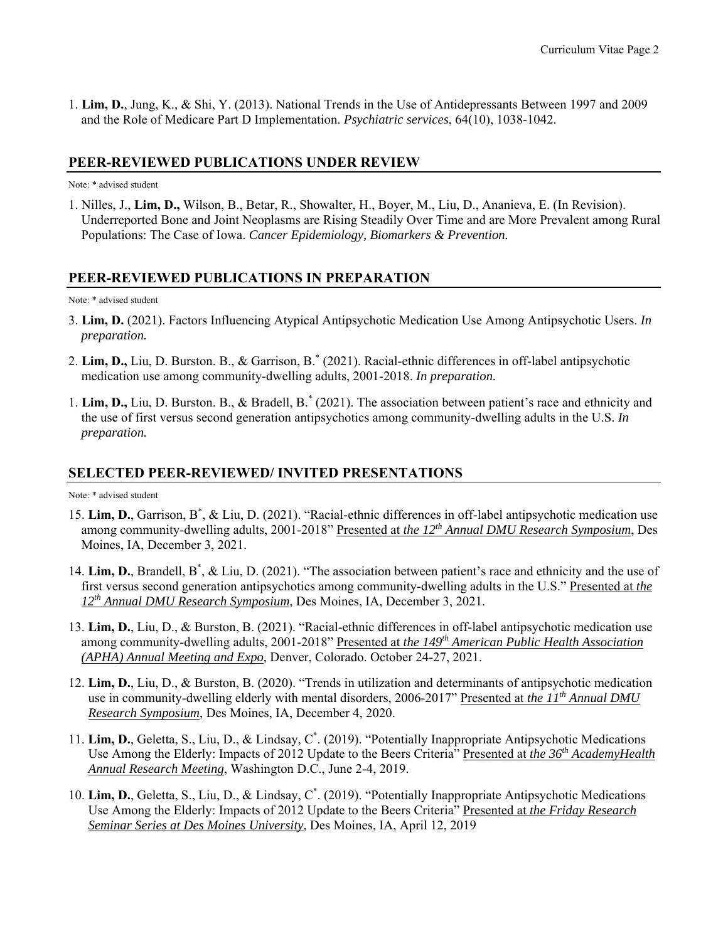1. **Lim, D.**, Jung, K., & Shi, Y. (2013). National Trends in the Use of Antidepressants Between 1997 and 2009 and the Role of Medicare Part D Implementation. *Psychiatric services*, 64(10), 1038-1042.

#### **PEER-REVIEWED PUBLICATIONS UNDER REVIEW**

Note: \* advised student

1. Nilles, J., **Lim, D.,** Wilson, B., Betar, R., Showalter, H., Boyer, M., Liu, D., Ananieva, E. (In Revision). Underreported Bone and Joint Neoplasms are Rising Steadily Over Time and are More Prevalent among Rural Populations: The Case of Iowa. *Cancer Epidemiology, Biomarkers & Prevention.*

#### **PEER-REVIEWED PUBLICATIONS IN PREPARATION**

Note: \* advised student

- 3. **Lim, D.** (2021). Factors Influencing Atypical Antipsychotic Medication Use Among Antipsychotic Users. *In preparation.*
- 2. **Lim, D.,** Liu, D. Burston. B., & Garrison, B.\* (2021). Racial-ethnic differences in off-label antipsychotic medication use among community-dwelling adults, 2001-2018. *In preparation.*
- 1. **Lim, D.,** Liu, D. Burston. B., & Bradell, B.\* (2021). The association between patient's race and ethnicity and the use of first versus second generation antipsychotics among community-dwelling adults in the U.S. *In preparation.*

#### **SELECTED PEER-REVIEWED/ INVITED PRESENTATIONS**

Note: \* advised student

- 15. Lim, D., Garrison, B<sup>\*</sup>, & Liu, D. (2021). "Racial-ethnic differences in off-label antipsychotic medication use among community-dwelling adults, 2001-2018" Presented at *the 12th Annual DMU Research Symposium*, Des Moines, IA, December 3, 2021.
- 14. Lim, D., Brandell, B<sup>\*</sup>, & Liu, D. (2021). "The association between patient's race and ethnicity and the use of first versus second generation antipsychotics among community-dwelling adults in the U.S." Presented at *the 12th Annual DMU Research Symposium*, Des Moines, IA, December 3, 2021.
- 13. **Lim, D.**, Liu, D., & Burston, B. (2021). "Racial-ethnic differences in off-label antipsychotic medication use among community-dwelling adults, 2001-2018" Presented at *the 149th American Public Health Association (APHA) Annual Meeting and Expo*, Denver, Colorado. October 24-27, 2021.
- 12. **Lim, D.**, Liu, D., & Burston, B. (2020). "Trends in utilization and determinants of antipsychotic medication use in community-dwelling elderly with mental disorders, 2006-2017" Presented at *the 11th Annual DMU Research Symposium*, Des Moines, IA, December 4, 2020.
- 11. **Lim, D.**, Geletta, S., Liu, D., & Lindsay, C\* . (2019). "Potentially Inappropriate Antipsychotic Medications Use Among the Elderly: Impacts of 2012 Update to the Beers Criteria" Presented at *the 36th AcademyHealth Annual Research Meeting*, Washington D.C., June 2-4, 2019.
- 10. **Lim, D.**, Geletta, S., Liu, D., & Lindsay, C\* . (2019). "Potentially Inappropriate Antipsychotic Medications Use Among the Elderly: Impacts of 2012 Update to the Beers Criteria" Presented at *the Friday Research Seminar Series at Des Moines University*, Des Moines, IA, April 12, 2019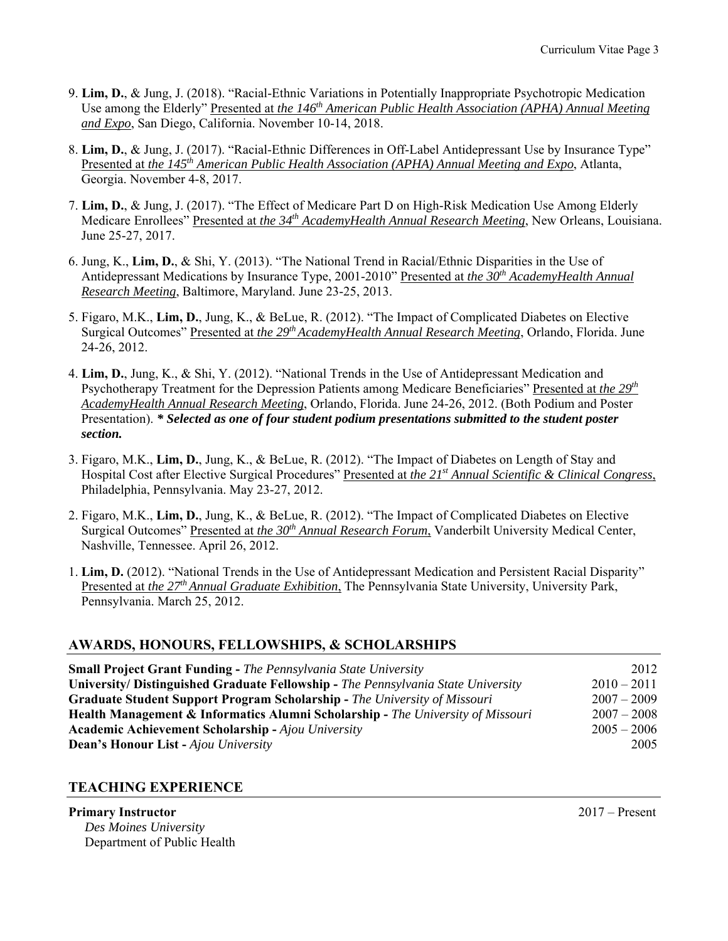- 9. **Lim, D.**, & Jung, J. (2018). "Racial-Ethnic Variations in Potentially Inappropriate Psychotropic Medication Use among the Elderly" Presented at *the 146<sup>th</sup> American Public Health Association (APHA) Annual Meeting and Expo*, San Diego, California. November 10-14, 2018.
- 8. **Lim, D.**, & Jung, J. (2017). "Racial-Ethnic Differences in Off-Label Antidepressant Use by Insurance Type" Presented at *the 145th American Public Health Association (APHA) Annual Meeting and Expo*, Atlanta, Georgia. November 4-8, 2017.
- 7. **Lim, D.**, & Jung, J. (2017). "The Effect of Medicare Part D on High-Risk Medication Use Among Elderly Medicare Enrollees" Presented at *the 34<sup>th</sup> AcademyHealth Annual Research Meeting*, New Orleans, Louisiana. June 25-27, 2017.
- 6. Jung, K., **Lim, D.**, & Shi, Y. (2013). "The National Trend in Racial/Ethnic Disparities in the Use of Antidepressant Medications by Insurance Type, 2001-2010" Presented at *the 30th AcademyHealth Annual Research Meeting*, Baltimore, Maryland. June 23-25, 2013.
- 5. Figaro, M.K., **Lim, D.**, Jung, K., & BeLue, R. (2012). "The Impact of Complicated Diabetes on Elective Surgical Outcomes" Presented at *the 29th AcademyHealth Annual Research Meeting*, Orlando, Florida. June 24-26, 2012.
- 4. **Lim, D.**, Jung, K., & Shi, Y. (2012). "National Trends in the Use of Antidepressant Medication and Psychotherapy Treatment for the Depression Patients among Medicare Beneficiaries" Presented at *the 29th AcademyHealth Annual Research Meeting*, Orlando, Florida. June 24-26, 2012. (Both Podium and Poster Presentation). *\* Selected as one of four student podium presentations submitted to the student poster section.*
- 3. Figaro, M.K., **Lim, D.**, Jung, K., & BeLue, R. (2012). "The Impact of Diabetes on Length of Stay and Hospital Cost after Elective Surgical Procedures" Presented at *the 21st Annual Scientific & Clinical Congress*, Philadelphia, Pennsylvania. May 23-27, 2012.
- 2. Figaro, M.K., **Lim, D.**, Jung, K., & BeLue, R. (2012). "The Impact of Complicated Diabetes on Elective Surgical Outcomes" Presented at *the 30<sup>th</sup> Annual Research Forum*, Vanderbilt University Medical Center. Nashville, Tennessee. April 26, 2012.
- 1. **Lim, D.** (2012). "National Trends in the Use of Antidepressant Medication and Persistent Racial Disparity" Presented at *the 27th Annual Graduate Exhibition*, The Pennsylvania State University, University Park, Pennsylvania. March 25, 2012.

## **AWARDS, HONOURS, FELLOWSHIPS, & SCHOLARSHIPS**

| <b>Small Project Grant Funding - The Pennsylvania State University</b>                     | 2012          |
|--------------------------------------------------------------------------------------------|---------------|
| University/ Distinguished Graduate Fellowship - The Pennsylvania State University          | $2010 - 2011$ |
| <b>Graduate Student Support Program Scholarship - The University of Missouri</b>           | $2007 - 2009$ |
| <b>Health Management &amp; Informatics Alumni Scholarship - The University of Missouri</b> | $2007 - 2008$ |
| <b>Academic Achievement Scholarship - Ajou University</b>                                  | $2005 - 2006$ |
| <b>Dean's Honour List - Ajou University</b>                                                | 2005          |

## **TEACHING EXPERIENCE**

#### **Primary Instructor** 2017 – Present  *Des Moines University*  Department of Public Health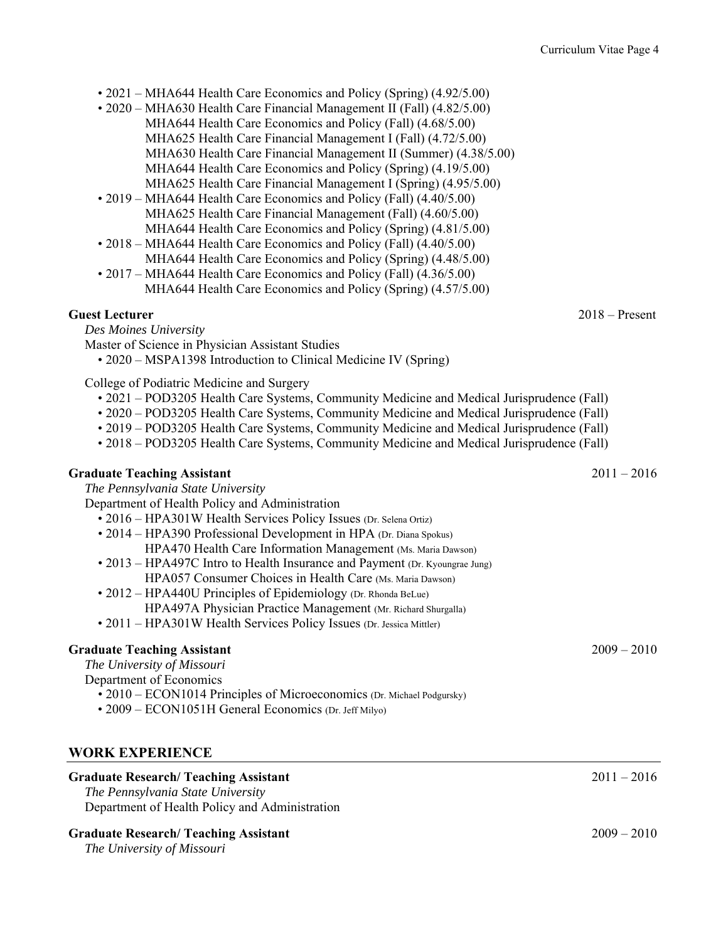- 2021 MHA644 Health Care Economics and Policy (Spring) (4.92/5.00)
- 2020 MHA630 Health Care Financial Management II (Fall) (4.82/5.00) MHA644 Health Care Economics and Policy (Fall) (4.68/5.00) MHA625 Health Care Financial Management I (Fall) (4.72/5.00) MHA630 Health Care Financial Management II (Summer) (4.38/5.00) MHA644 Health Care Economics and Policy (Spring) (4.19/5.00) MHA625 Health Care Financial Management I (Spring) (4.95/5.00)
- 2019 MHA644 Health Care Economics and Policy (Fall) (4.40/5.00) MHA625 Health Care Financial Management (Fall) (4.60/5.00) MHA644 Health Care Economics and Policy (Spring) (4.81/5.00)
- 2018 MHA644 Health Care Economics and Policy (Fall) (4.40/5.00) MHA644 Health Care Economics and Policy (Spring) (4.48/5.00)
- 2017 MHA644 Health Care Economics and Policy (Fall) (4.36/5.00) MHA644 Health Care Economics and Policy (Spring) (4.57/5.00)

## **Guest Lecturer** 2018 – Present

 *Des Moines University* 

- Master of Science in Physician Assistant Studies
	- 2020 MSPA1398 Introduction to Clinical Medicine IV (Spring)

College of Podiatric Medicine and Surgery

- 2021 POD3205 Health Care Systems, Community Medicine and Medical Jurisprudence (Fall)
- 2020 POD3205 Health Care Systems, Community Medicine and Medical Jurisprudence (Fall)
- 2019 POD3205 Health Care Systems, Community Medicine and Medical Jurisprudence (Fall)
- 2018 POD3205 Health Care Systems, Community Medicine and Medical Jurisprudence (Fall)

## **Graduate Teaching Assistant** 2011 – 2016

 *The Pennsylvania State University* 

Department of Health Policy and Administration

- 2016 HPA301W Health Services Policy Issues (Dr. Selena Ortiz)
- 2014 HPA390 Professional Development in HPA (Dr. Diana Spokus) HPA470 Health Care Information Management (Ms. Maria Dawson)
- 2013 HPA497C Intro to Health Insurance and Payment (Dr. Kyoungrae Jung) HPA057 Consumer Choices in Health Care (Ms. Maria Dawson)
- 2012 HPA440U Principles of Epidemiology (Dr. Rhonda BeLue)
	- HPA497A Physician Practice Management (Mr. Richard Shurgalla)
- 2011 HPA301W Health Services Policy Issues (Dr. Jessica Mittler)

## **Graduate Teaching Assistant** 2009 – 2010

 *The University of Missouri* 

Department of Economics

- 2010 ECON1014 Principles of Microeconomics (Dr. Michael Podgursky)
- 2009 ECON1051H General Economics (Dr. Jeff Milyo)

## **WORK EXPERIENCE**

## **Graduate Research/ Teaching Assistant** 2011 – 2016  *The Pennsylvania State University*  Department of Health Policy and Administration **Graduate Research/ Teaching Assistant** 2009 – 2010

 *The University of Missouri*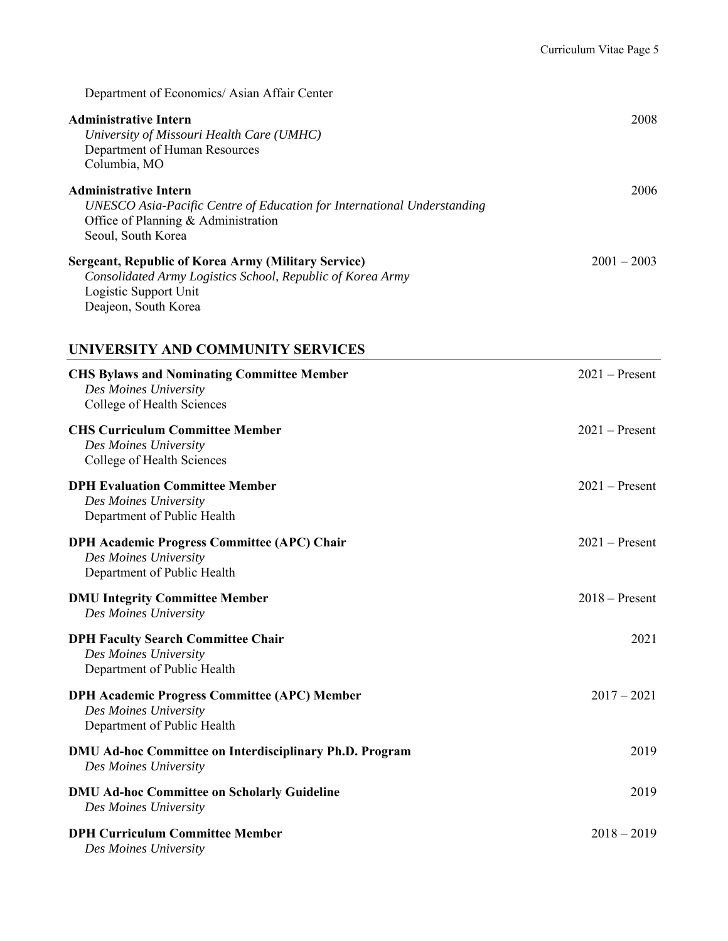Department of Economics/ Asian Affair Center

| <b>Administrative Intern</b><br>University of Missouri Health Care (UMHC)<br>Department of Human Resources<br>Columbia, MO                                           | 2008             |
|----------------------------------------------------------------------------------------------------------------------------------------------------------------------|------------------|
| <b>Administrative Intern</b><br>UNESCO Asia-Pacific Centre of Education for International Understanding<br>Office of Planning & Administration<br>Seoul, South Korea | 2006             |
| Sergeant, Republic of Korea Army (Military Service)<br>Consolidated Army Logistics School, Republic of Korea Army<br>Logistic Support Unit<br>Deajeon, South Korea   | $2001 - 2003$    |
| UNIVERSITY AND COMMUNITY SERVICES                                                                                                                                    |                  |
| <b>CHS Bylaws and Nominating Committee Member</b><br>Des Moines University<br>College of Health Sciences                                                             | $2021 -$ Present |
| <b>CHS Curriculum Committee Member</b><br>Des Moines University<br>College of Health Sciences                                                                        | $2021 -$ Present |
| <b>DPH Evaluation Committee Member</b><br>Des Moines University<br>Department of Public Health                                                                       | $2021 -$ Present |
| <b>DPH Academic Progress Committee (APC) Chair</b><br>Des Moines University<br>Department of Public Health                                                           | $2021 -$ Present |
| <b>DMU Integrity Committee Member</b><br>Des Moines University                                                                                                       | $2018 -$ Present |
| <b>DPH Faculty Search Committee Chair</b><br>Des Moines University<br>Department of Public Health                                                                    | 2021             |
| <b>DPH Academic Progress Committee (APC) Member</b><br>Des Moines University<br>Department of Public Health                                                          | $2017 - 2021$    |
| <b>DMU Ad-hoc Committee on Interdisciplinary Ph.D. Program</b><br>Des Moines University                                                                              | 2019             |
| <b>DMU Ad-hoc Committee on Scholarly Guideline</b><br>Des Moines University                                                                                          | 2019             |
| <b>DPH Curriculum Committee Member</b><br>Des Moines University                                                                                                      | $2018 - 2019$    |